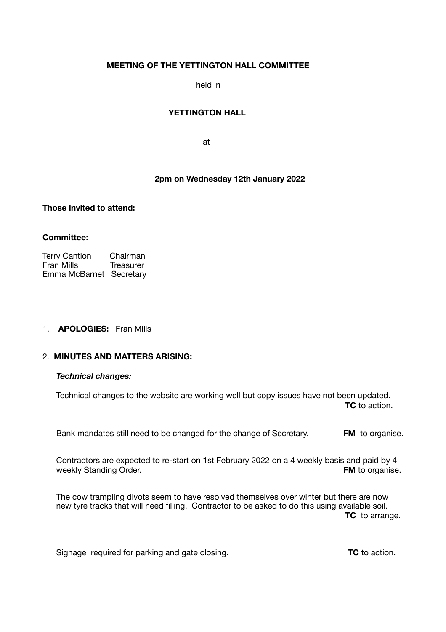# **MEETING OF THE YETTINGTON HALL COMMITTEE**

held in

## **YETTINGTON HALL**

**at the contract of the contract of the contract of the contract of the contract of the contract of the contract of the contract of the contract of the contract of the contract of the contract of the contract of the contra** 

# **2pm on Wednesday 12th January 2022**

**Those invited to attend:** 

## **Committee:**

Terry Cantlon Chairman<br>Fran Mills Treasurer Fran Mills Emma McBarnet Secretary

### 1. **APOLOGIES:** Fran Mills

## 2. **MINUTES AND MATTERS ARISING:**

### *Technical changes:*

Technical changes to the website are working well but copy issues have not been updated. **TC** to action.

Bank mandates still need to be changed for the change of Secretary. **FM** to organise.

 Contractors are expected to re-start on 1st February 2022 on a 4 weekly basis and paid by 4 weekly Standing Order. **FM** to organise.

 The cow trampling divots seem to have resolved themselves over winter but there are now new tyre tracks that will need filling. Contractor to be asked to do this using available soil. **TC** to arrange.

Signage required for parking and gate closing. **TC TC** to action.